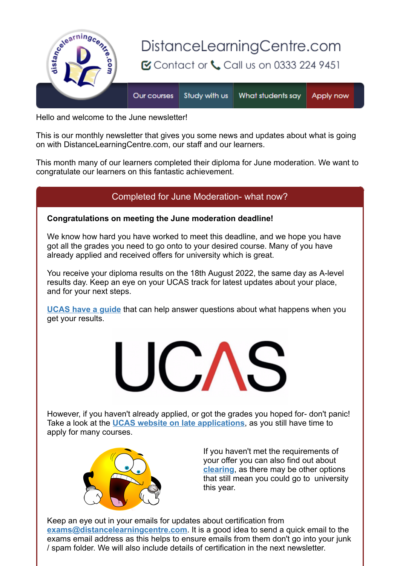

Hello and welcome to the June newsletterl

This is our monthly newsletter that gives you some news and updates about what is going on with DistanceLearningCentre.com, our staff and our learners.

This month many of our learners completed their diploma for June moderation. We want to congratulate our learners on this fantastic achievement.

# Completed for June Moderation- what now?

### **Congratulations on meeting the June moderation deadline!**

We know how hard you have worked to meet this deadline, and we hope you have got all the grades you need to go onto to your desired course. Many of you have already applied and received offers for university which is great.

You receive your diploma results on the 18th August 2022, the same day as A-level results day. Keep an eye on your UCAS track for latest updates about your place, and for your next steps.

**[UCAS have a guide](https://s6.newzapp.co.uk/t/click/1545809712/107396883/15833400/2)** that can help answer questions about what happens when you get your results.



However, if you haven't already applied, or got the grades you hoped for- don't panic! Take a look at the **[UCAS website on late applications](https://s6.newzapp.co.uk/t/click/1545809712/107396883/15833401/2)**, as you still have time to apply for many courses.



If you haven't met the requirements of your offer you can also find out about **[clearing](https://s6.newzapp.co.uk/t/click/1545809712/107396883/15833402/2)**, as there may be other options that still mean you could go to university this year.

Keep an eye out in your emails for updates about certification from **[exams@distancelearningcentre.com](https://s6.newzapp.co.uk/t/click/1545809712/107396883/15833403/2)**. It is a good idea to send a quick email to the exams email address as this helps to ensure emails from them don't go into your junk / spam folder. We will also include details of certification in the next newsletter.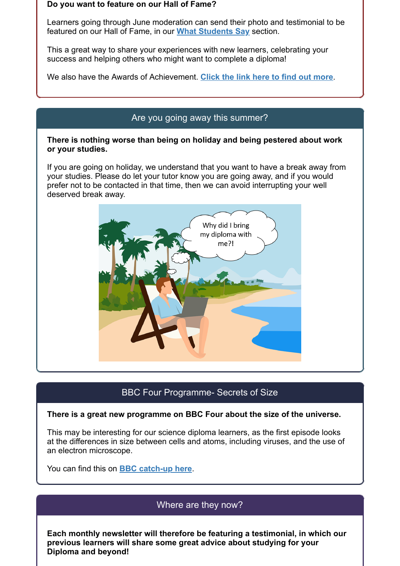#### **Do you want to feature on our Hall of Fame?**

Learners going through June moderation can send their photo and testimonial to be featured on our Hall of Fame, in our **[What Students Say](https://s6.newzapp.co.uk/t/click/1545809712/107396883/15833404/2)** section.

This a great way to share your experiences with new learners, celebrating your success and helping others who might want to complete a diploma!

We also have the Awards of Achievement. **[Click the link here to find out more](https://s6.newzapp.co.uk/t/click/1545809712/107396883/15833405/2)**.

### Are you going away this summer?

### **There is nothing worse than being on holiday and being pestered about work or your studies.**

If you are going on holiday, we understand that you want to have a break away from your studies. Please do let your tutor know you are going away, and if you would prefer not to be contacted in that time, then we can avoid interrupting your well deserved break away.



## BBC Four Programme- Secrets of Size

#### **There is a great new programme on BBC Four about the size of the universe.**

This may be interesting for our science diploma learners, as the first episode looks at the differences in size between cells and atoms, including viruses, and the use of an electron microscope.

You can find this on **[BBC catch-up here](https://s6.newzapp.co.uk/t/click/1545809712/107396883/15833406/2)**.

## Where are they now?

**Each monthly newsletter will therefore be featuring a testimonial, in which our previous learners will share some great advice about studying for your Diploma and beyond!**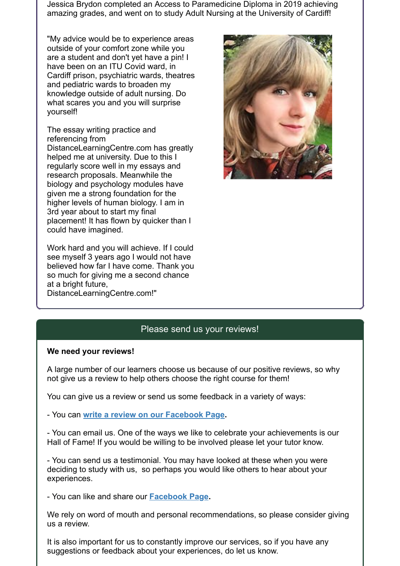Jessica Brydon completed an Access to Paramedicine Diploma in 2019 achieving amazing grades, and went on to study Adult Nursing at the University of Cardiff!

"My advice would be to experience areas outside of your comfort zone while you are a student and don't yet have a pin! I have been on an ITU Covid ward, in Cardiff prison, psychiatric wards, theatres and pediatric wards to broaden my knowledge outside of adult nursing. Do what scares you and you will surprise yourself!

The essay writing practice and referencing from

DistanceLearningCentre.com has greatly helped me at university. Due to this I regularly score well in my essays and research proposals. Meanwhile the biology and psychology modules have given me a strong foundation for the higher levels of human biology. I am in 3rd year about to start my final placement! It has flown by quicker than I could have imagined.

Work hard and you will achieve. If I could see myself 3 years ago I would not have believed how far I have come. Thank you so much for giving me a second chance at a bright future, DistanceLearningCentre.com!"



# Please send us your reviews!

#### **We need your reviews!**

A large number of our learners choose us because of our positive reviews, so why not give us a review to help others choose the right course for them!

You can give us a review or send us some feedback in a variety of ways:

- You can **[write a review on our Facebook Page.](https://s6.newzapp.co.uk/t/click/1545809712/107396883/15833407/2)**

- You can email us. One of the ways we like to celebrate your achievements is our Hall of Fame! If you would be willing to be involved please let your tutor know.

- You can send us a testimonial. You may have looked at these when you were deciding to study with us, so perhaps you would like others to hear about your experiences.

- You can like and share our **[Facebook Page.](https://s6.newzapp.co.uk/t/click/1545809712/107396883/15833408/2)**

We rely on word of mouth and personal recommendations, so please consider giving us a review.

It is also important for us to constantly improve our services, so if you have any suggestions or feedback about your experiences, do let us know.